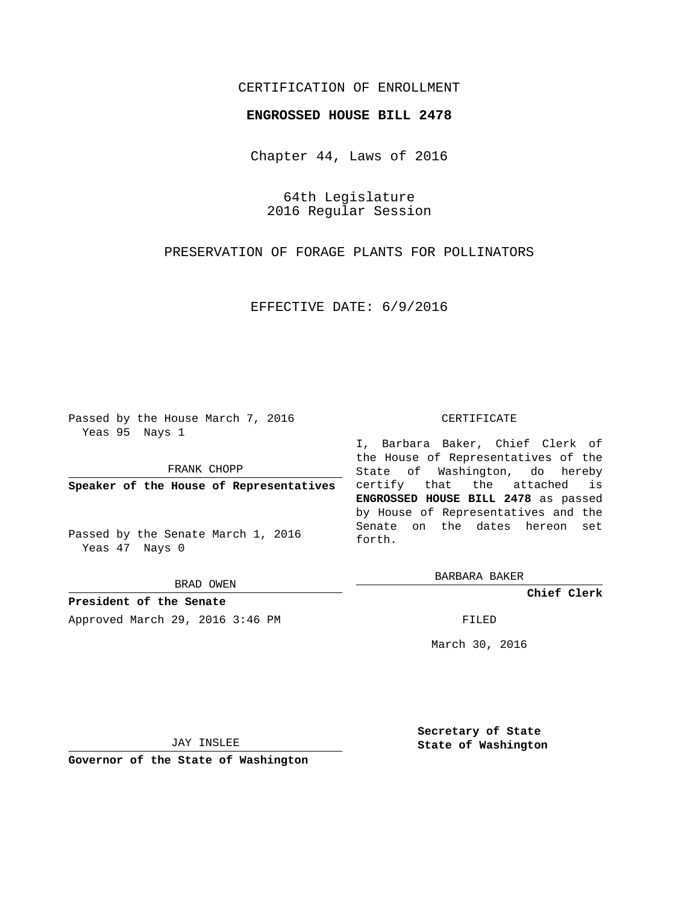# CERTIFICATION OF ENROLLMENT

#### **ENGROSSED HOUSE BILL 2478**

Chapter 44, Laws of 2016

64th Legislature 2016 Regular Session

PRESERVATION OF FORAGE PLANTS FOR POLLINATORS

EFFECTIVE DATE: 6/9/2016

Passed by the House March 7, 2016 Yeas 95 Nays 1

FRANK CHOPP

**Speaker of the House of Representatives**

Passed by the Senate March 1, 2016 Yeas 47 Nays 0

BRAD OWEN

**President of the Senate** Approved March 29, 2016 3:46 PM FILED

#### CERTIFICATE

I, Barbara Baker, Chief Clerk of the House of Representatives of the State of Washington, do hereby certify that the attached is **ENGROSSED HOUSE BILL 2478** as passed by House of Representatives and the Senate on the dates hereon set forth.

BARBARA BAKER

**Chief Clerk**

March 30, 2016

JAY INSLEE

**Governor of the State of Washington**

**Secretary of State State of Washington**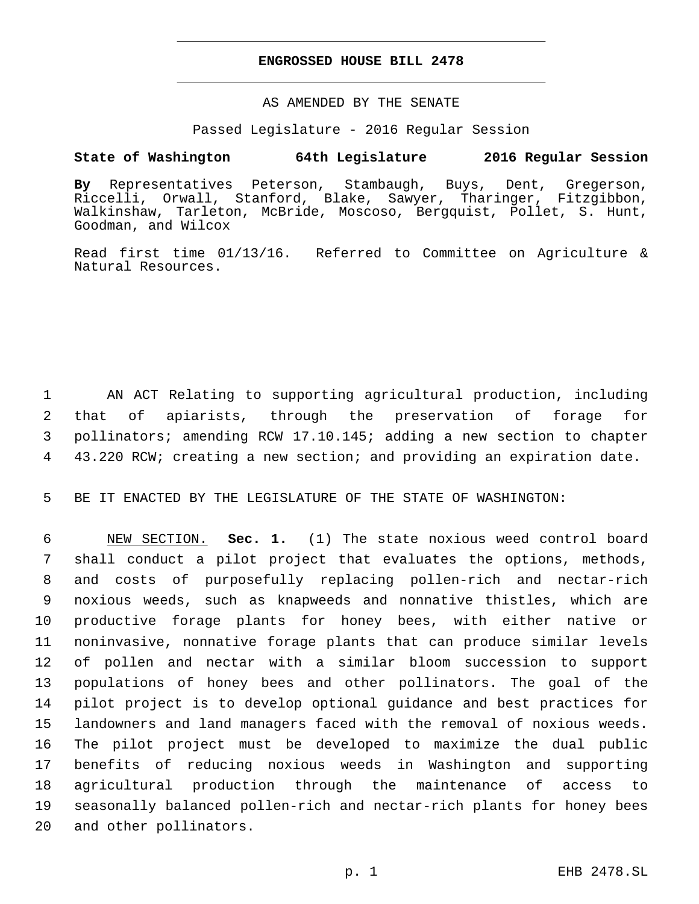### **ENGROSSED HOUSE BILL 2478**

## AS AMENDED BY THE SENATE

#### Passed Legislature - 2016 Regular Session

# **State of Washington 64th Legislature 2016 Regular Session**

**By** Representatives Peterson, Stambaugh, Buys, Dent, Gregerson, Riccelli, Orwall, Stanford, Blake, Sawyer, Tharinger, Fitzgibbon, Walkinshaw, Tarleton, McBride, Moscoso, Bergquist, Pollet, S. Hunt, Goodman, and Wilcox

Read first time 01/13/16. Referred to Committee on Agriculture & Natural Resources.

 AN ACT Relating to supporting agricultural production, including that of apiarists, through the preservation of forage for pollinators; amending RCW 17.10.145; adding a new section to chapter 43.220 RCW; creating a new section; and providing an expiration date.

BE IT ENACTED BY THE LEGISLATURE OF THE STATE OF WASHINGTON:

 NEW SECTION. **Sec. 1.** (1) The state noxious weed control board shall conduct a pilot project that evaluates the options, methods, and costs of purposefully replacing pollen-rich and nectar-rich noxious weeds, such as knapweeds and nonnative thistles, which are productive forage plants for honey bees, with either native or noninvasive, nonnative forage plants that can produce similar levels of pollen and nectar with a similar bloom succession to support populations of honey bees and other pollinators. The goal of the pilot project is to develop optional guidance and best practices for landowners and land managers faced with the removal of noxious weeds. The pilot project must be developed to maximize the dual public benefits of reducing noxious weeds in Washington and supporting agricultural production through the maintenance of access to seasonally balanced pollen-rich and nectar-rich plants for honey bees and other pollinators.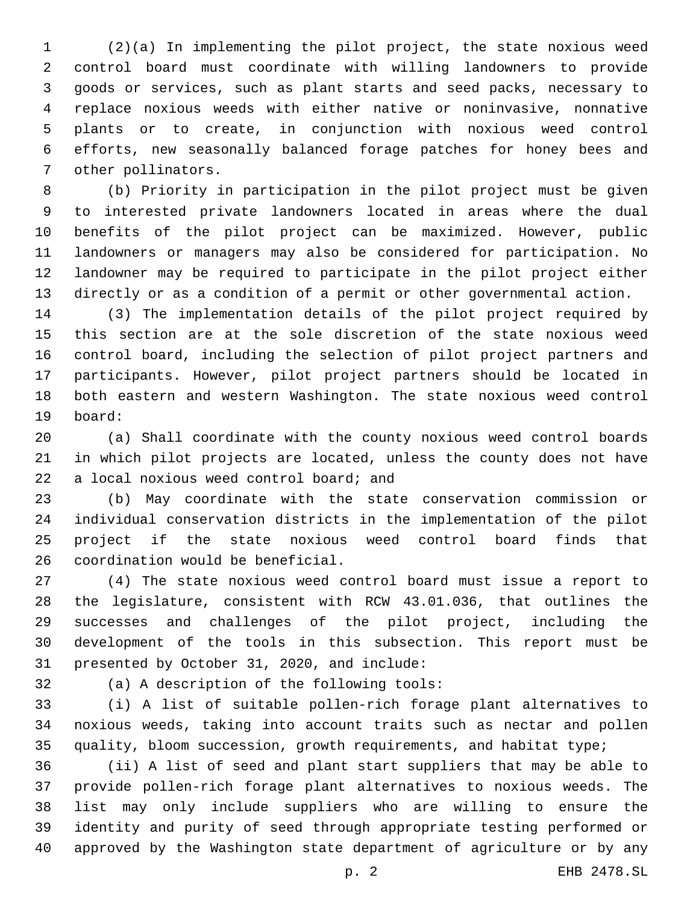(2)(a) In implementing the pilot project, the state noxious weed control board must coordinate with willing landowners to provide goods or services, such as plant starts and seed packs, necessary to replace noxious weeds with either native or noninvasive, nonnative plants or to create, in conjunction with noxious weed control efforts, new seasonally balanced forage patches for honey bees and 7 other pollinators.

 (b) Priority in participation in the pilot project must be given to interested private landowners located in areas where the dual benefits of the pilot project can be maximized. However, public landowners or managers may also be considered for participation. No landowner may be required to participate in the pilot project either directly or as a condition of a permit or other governmental action.

 (3) The implementation details of the pilot project required by this section are at the sole discretion of the state noxious weed control board, including the selection of pilot project partners and participants. However, pilot project partners should be located in both eastern and western Washington. The state noxious weed control board:19

 (a) Shall coordinate with the county noxious weed control boards in which pilot projects are located, unless the county does not have 22 a local noxious weed control board; and

 (b) May coordinate with the state conservation commission or individual conservation districts in the implementation of the pilot project if the state noxious weed control board finds that 26 coordination would be beneficial.

 (4) The state noxious weed control board must issue a report to the legislature, consistent with RCW 43.01.036, that outlines the successes and challenges of the pilot project, including the development of the tools in this subsection. This report must be 31 presented by October 31, 2020, and include:

32 (a) A description of the following tools:

 (i) A list of suitable pollen-rich forage plant alternatives to noxious weeds, taking into account traits such as nectar and pollen 35 quality, bloom succession, growth requirements, and habitat type;

 (ii) A list of seed and plant start suppliers that may be able to provide pollen-rich forage plant alternatives to noxious weeds. The list may only include suppliers who are willing to ensure the identity and purity of seed through appropriate testing performed or approved by the Washington state department of agriculture or by any

p. 2 EHB 2478.SL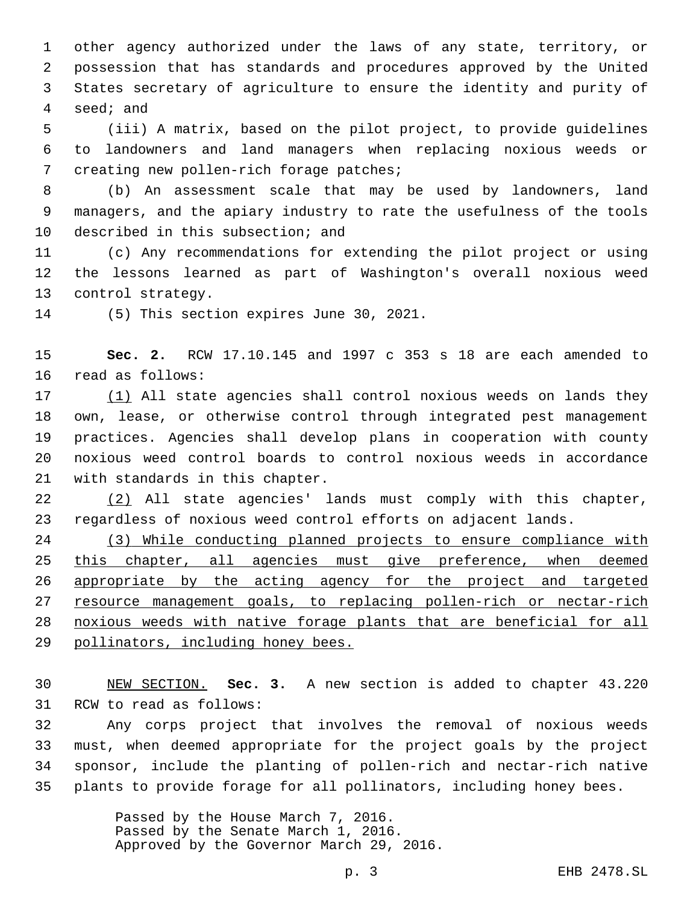other agency authorized under the laws of any state, territory, or possession that has standards and procedures approved by the United States secretary of agriculture to ensure the identity and purity of 4 seed; and

 (iii) A matrix, based on the pilot project, to provide guidelines to landowners and land managers when replacing noxious weeds or 7 creating new pollen-rich forage patches;

 (b) An assessment scale that may be used by landowners, land managers, and the apiary industry to rate the usefulness of the tools 10 described in this subsection; and

 (c) Any recommendations for extending the pilot project or using the lessons learned as part of Washington's overall noxious weed 13 control strategy.

14 (5) This section expires June 30, 2021.

 **Sec. 2.** RCW 17.10.145 and 1997 c 353 s 18 are each amended to 16 read as follows:

 (1) All state agencies shall control noxious weeds on lands they own, lease, or otherwise control through integrated pest management practices. Agencies shall develop plans in cooperation with county noxious weed control boards to control noxious weeds in accordance 21 with standards in this chapter.

 (2) All state agencies' lands must comply with this chapter, regardless of noxious weed control efforts on adjacent lands.

 (3) While conducting planned projects to ensure compliance with 25 this chapter, all agencies must give preference, when deemed 26 appropriate by the acting agency for the project and targeted resource management goals, to replacing pollen-rich or nectar-rich noxious weeds with native forage plants that are beneficial for all pollinators, including honey bees.

 NEW SECTION. **Sec. 3.** A new section is added to chapter 43.220 31 RCW to read as follows:

 Any corps project that involves the removal of noxious weeds must, when deemed appropriate for the project goals by the project sponsor, include the planting of pollen-rich and nectar-rich native plants to provide forage for all pollinators, including honey bees.

> Passed by the House March 7, 2016. Passed by the Senate March 1, 2016. Approved by the Governor March 29, 2016.